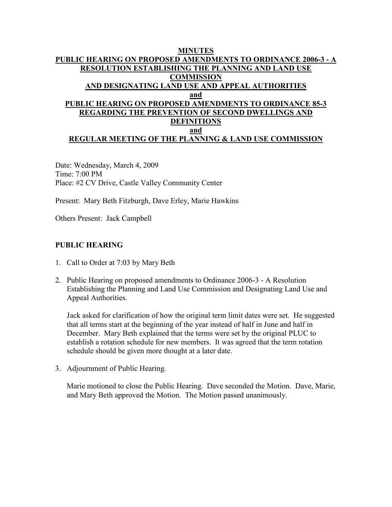## **MINUTES PUBLIC HEARING ON PROPOSED AMENDMENTS TO ORDINANCE 2006-3 - A RESOLUTION ESTABLISHING THE PLANNING AND LAND USE COMMISSION AND DESIGNATING LAND USE AND APPEAL AUTHORITIES and PUBLIC HEARING ON PROPOSED AMENDMENTS TO ORDINANCE 85-3 REGARDING THE PREVENTION OF SECOND DWELLINGS AND DEFINITIONS and REGULAR MEETING OF THE PLANNING & LAND USE COMMISSION**

Date: Wednesday, March 4, 2009 Time: 7:00 PM Place: #2 CV Drive, Castle Valley Community Center

Present: Mary Beth Fitzburgh, Dave Erley, Marie Hawkins

Others Present: Jack Campbell

### **PUBLIC HEARING**

- 1. Call to Order at 7:03 by Mary Beth
- 2. Public Hearing on proposed amendments to Ordinance 2006-3 A Resolution Establishing the Planning and Land Use Commission and Designating Land Use and Appeal Authorities.

Jack asked for clarification of how the original term limit dates were set. He suggested that all terms start at the beginning of the year instead of half in June and half in December. Mary Beth explained that the terms were set by the original PLUC to establish a rotation schedule for new members. It was agreed that the term rotation schedule should be given more thought at a later date.

3. Adjournment of Public Hearing.

Marie motioned to close the Public Hearing. Dave seconded the Motion. Dave, Marie, and Mary Beth approved the Motion. The Motion passed unanimously.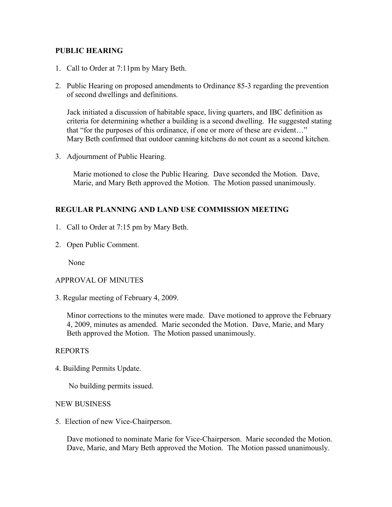### **PUBLIC HEARING**

- 1. Call to Order at 7:11pm by Mary Beth.
- 2. Public Hearing on proposed amendments to Ordinance 85-3 regarding the prevention of second dwellings and definitions.

Jack initiated a discussion of habitable space, living quarters, and IBC definition as criteria for determining whether a building is a second dwelling. He suggested stating that "for the purposes of this ordinance, if one or more of these are evident…" Mary Beth confirmed that outdoor canning kitchens do not count as a second kitchen.

3. Adjournment of Public Hearing.

Marie motioned to close the Public Hearing. Dave seconded the Motion. Dave, Marie, and Mary Beth approved the Motion. The Motion passed unanimously.

# **REGULAR PLANNING AND LAND USE COMMISSION MEETING**

- 1. Call to Order at 7:15 pm by Mary Beth.
- 2. Open Public Comment.

None

### APPROVAL OF MINUTES

3. Regular meeting of February 4, 2009.

Minor corrections to the minutes were made. Dave motioned to approve the February 4, 2009, minutes as amended. Marie seconded the Motion. Dave, Marie, and Mary Beth approved the Motion. The Motion passed unanimously.

### REPORTS

4. Building Permits Update.

No building permits issued.

### NEW BUSINESS

5. Election of new Vice-Chairperson.

Dave motioned to nominate Marie for Vice-Chairperson. Marie seconded the Motion. Dave, Marie, and Mary Beth approved the Motion. The Motion passed unanimously.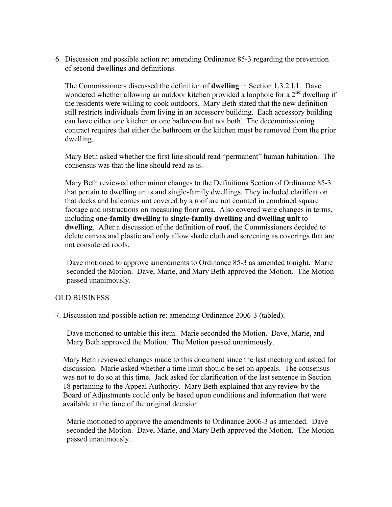6. Discussion and possible action re: amending Ordinance 85-3 regarding the prevention of second dwellings and definitions.

The Commissioners discussed the definition of **dwelling** in Section 1.3.2.I.1. Dave wondered whether allowing an outdoor kitchen provided a loophole for a  $2<sup>nd</sup>$  dwelling if the residents were willing to cook outdoors. Mary Beth stated that the new definition still restricts individuals from living in an accessory building. Each accessory building can have either one kitchen or one bathroom but not both. The decommissioning contract requires that either the bathroom or the kitchen must be removed from the prior dwelling.

Mary Beth asked whether the first line should read "permanent" human habitation. The consensus was that the line should read as is.

Mary Beth reviewed other minor changes to the Definitions Section of Ordinance 85-3 that pertain to dwelling units and single-family dwellings. They included clarification that decks and balconies not covered by a roof are not counted in combined square footage and instructions on measuring floor area. Also covered were changes in terms, including **one-family dwelling** to **single-family dwelling** and **dwelling unit** to **dwelling**. After a discussion of the definition of **roof**, the Commissioners decided to delete canvas and plastic and only allow shade cloth and screening as coverings that are not considered roofs.

Dave motioned to approve amendments to Ordinance 85-3 as amended tonight. Marie seconded the Motion. Dave, Marie, and Mary Beth approved the Motion. The Motion passed unanimously.

### OLD BUSINESS

7. Discussion and possible action re: amending Ordinance 2006-3 (tabled).

Dave motioned to untable this item. Marie seconded the Motion. Dave, Marie, and Mary Beth approved the Motion. The Motion passed unanimously.

Mary Beth reviewed changes made to this document since the last meeting and asked for discussion. Marie asked whether a time limit should be set on appeals. The consensus was not to do so at this time. Jack asked for clarification of the last sentence in Section 18 pertaining to the Appeal Authority. Mary Beth explained that any review by the Board of Adjustments could only be based upon conditions and information that were available at the time of the original decision.

Marie motioned to approve the amendments to Ordinance 2006-3 as amended. Dave seconded the Motion. Dave, Marie, and Mary Beth approved the Motion. The Motion passed unanimously.